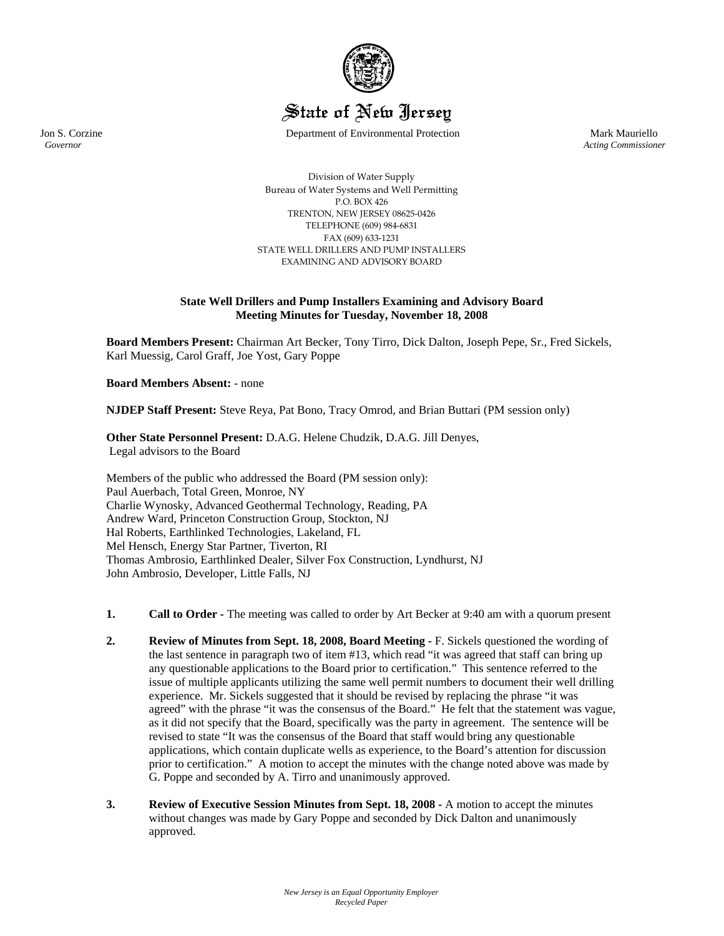

State of New Jersey

Jon S. Corzine Department of Environmental Protection Mark Mauriello

 *Governor Acting Commissioner*

Division of Water Supply Bureau of Water Systems and Well Permitting P.O. BOX 426 TRENTON, NEW JERSEY 08625‐0426 TELEPHONE (609) 984‐6831 FAX (609) 633‐1231 STATE WELL DRILLERS AND PUMP INSTALLERS EXAMINING AND ADVISORY BOARD

## **State Well Drillers and Pump Installers Examining and Advisory Board Meeting Minutes for Tuesday, November 18, 2008**

**Board Members Present:** Chairman Art Becker, Tony Tirro, Dick Dalton, Joseph Pepe, Sr., Fred Sickels, Karl Muessig, Carol Graff, Joe Yost, Gary Poppe

**Board Members Absent:** - none

**NJDEP Staff Present:** Steve Reya, Pat Bono, Tracy Omrod, and Brian Buttari (PM session only)

**Other State Personnel Present:** D.A.G. Helene Chudzik, D.A.G. Jill Denyes, Legal advisors to the Board

Members of the public who addressed the Board (PM session only): Paul Auerbach, Total Green, Monroe, NY Charlie Wynosky, Advanced Geothermal Technology, Reading, PA Andrew Ward, Princeton Construction Group, Stockton, NJ Hal Roberts, Earthlinked Technologies, Lakeland, FL Mel Hensch, Energy Star Partner, Tiverton, RI Thomas Ambrosio, Earthlinked Dealer, Silver Fox Construction, Lyndhurst, NJ John Ambrosio, Developer, Little Falls, NJ

- **1. Call to Order -** The meeting was called to order by Art Becker at 9:40 am with a quorum present
- **2. Review of Minutes from Sept. 18, 2008, Board Meeting** F. Sickels questioned the wording of the last sentence in paragraph two of item #13, which read "it was agreed that staff can bring up any questionable applications to the Board prior to certification." This sentence referred to the issue of multiple applicants utilizing the same well permit numbers to document their well drilling experience. Mr. Sickels suggested that it should be revised by replacing the phrase "it was agreed" with the phrase "it was the consensus of the Board." He felt that the statement was vague, as it did not specify that the Board, specifically was the party in agreement. The sentence will be revised to state "It was the consensus of the Board that staff would bring any questionable applications, which contain duplicate wells as experience, to the Board's attention for discussion prior to certification." A motion to accept the minutes with the change noted above was made by G. Poppe and seconded by A. Tirro and unanimously approved.
- **3. Review of Executive Session Minutes from Sept. 18, 2008 -** A motion to accept the minutes without changes was made by Gary Poppe and seconded by Dick Dalton and unanimously approved.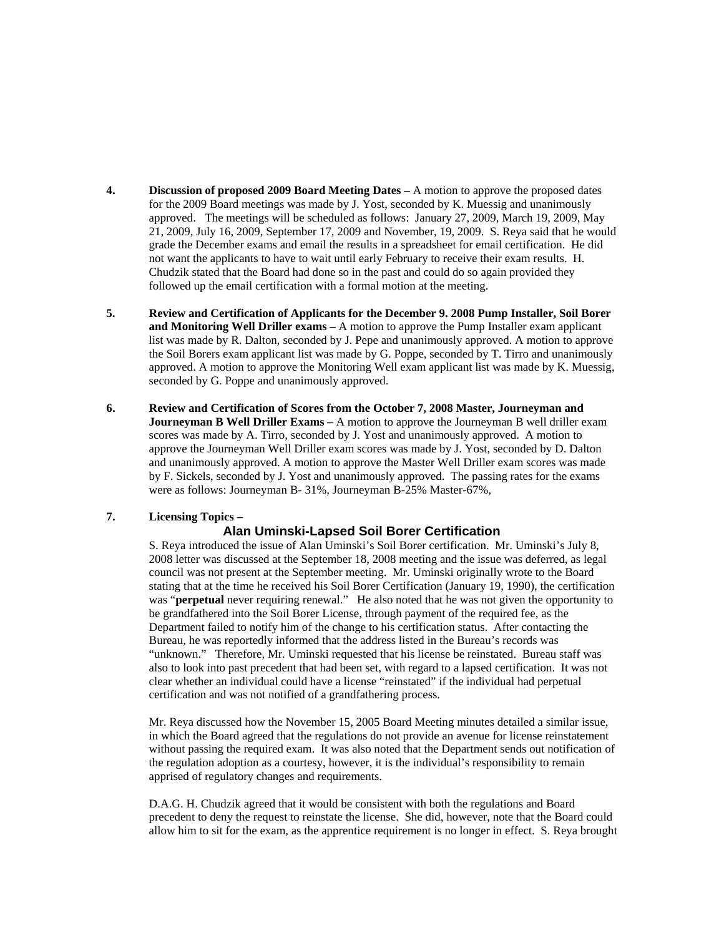- **4. Discussion of proposed 2009 Board Meeting Dates –** A motion to approve the proposed dates for the 2009 Board meetings was made by J. Yost, seconded by K. Muessig and unanimously approved. The meetings will be scheduled as follows: January 27, 2009, March 19, 2009, May 21, 2009, July 16, 2009, September 17, 2009 and November, 19, 2009. S. Reya said that he would grade the December exams and email the results in a spreadsheet for email certification. He did not want the applicants to have to wait until early February to receive their exam results. H. Chudzik stated that the Board had done so in the past and could do so again provided they followed up the email certification with a formal motion at the meeting.
- **5. Review and Certification of Applicants for the December 9. 2008 Pump Installer, Soil Borer and Monitoring Well Driller exams –** A motion to approve the Pump Installer exam applicant list was made by R. Dalton, seconded by J. Pepe and unanimously approved. A motion to approve the Soil Borers exam applicant list was made by G. Poppe, seconded by T. Tirro and unanimously approved. A motion to approve the Monitoring Well exam applicant list was made by K. Muessig, seconded by G. Poppe and unanimously approved.
- **6. Review and Certification of Scores from the October 7, 2008 Master, Journeyman and Journeyman B Well Driller Exams** – A motion to approve the Journeyman B well driller exam scores was made by A. Tirro, seconded by J. Yost and unanimously approved. A motion to approve the Journeyman Well Driller exam scores was made by J. Yost, seconded by D. Dalton and unanimously approved. A motion to approve the Master Well Driller exam scores was made by F. Sickels, seconded by J. Yost and unanimously approved. The passing rates for the exams were as follows: Journeyman B- 31%, Journeyman B-25% Master-67%,

# **7. Licensing Topics –**

# **Alan Uminski-Lapsed Soil Borer Certification**

S. Reya introduced the issue of Alan Uminski's Soil Borer certification. Mr. Uminski's July 8, 2008 letter was discussed at the September 18, 2008 meeting and the issue was deferred, as legal council was not present at the September meeting. Mr. Uminski originally wrote to the Board stating that at the time he received his Soil Borer Certification (January 19, 1990), the certification was "**perpetual** never requiring renewal." He also noted that he was not given the opportunity to be grandfathered into the Soil Borer License, through payment of the required fee, as the Department failed to notify him of the change to his certification status. After contacting the Bureau, he was reportedly informed that the address listed in the Bureau's records was "unknown." Therefore, Mr. Uminski requested that his license be reinstated. Bureau staff was also to look into past precedent that had been set, with regard to a lapsed certification. It was not clear whether an individual could have a license "reinstated" if the individual had perpetual certification and was not notified of a grandfathering process.

 Mr. Reya discussed how the November 15, 2005 Board Meeting minutes detailed a similar issue, in which the Board agreed that the regulations do not provide an avenue for license reinstatement without passing the required exam. It was also noted that the Department sends out notification of the regulation adoption as a courtesy, however, it is the individual's responsibility to remain apprised of regulatory changes and requirements.

 D.A.G. H. Chudzik agreed that it would be consistent with both the regulations and Board precedent to deny the request to reinstate the license. She did, however, note that the Board could allow him to sit for the exam, as the apprentice requirement is no longer in effect. S. Reya brought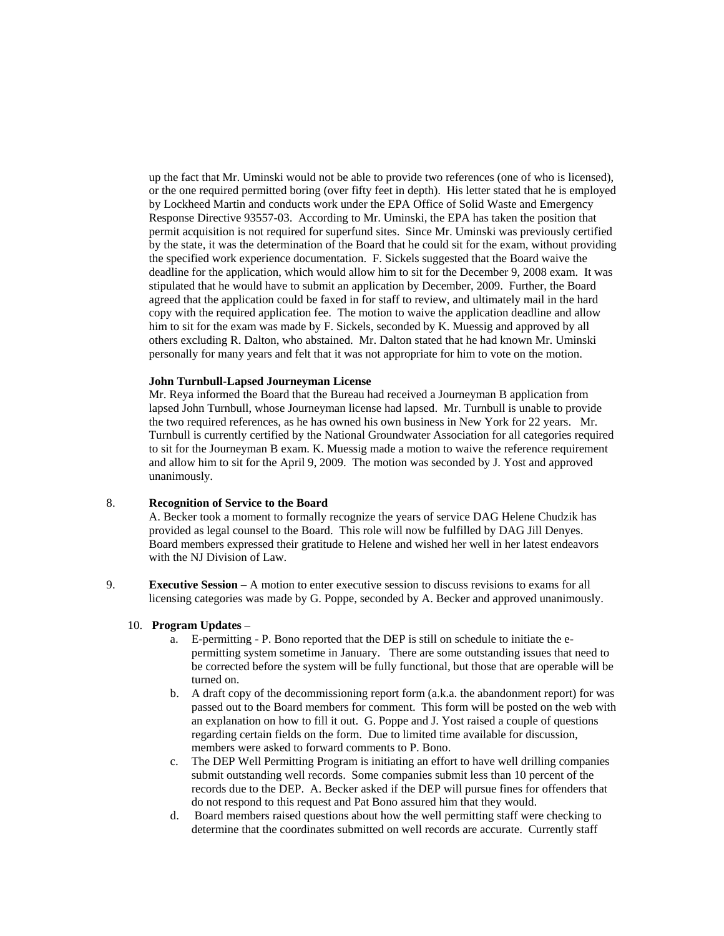up the fact that Mr. Uminski would not be able to provide two references (one of who is licensed), or the one required permitted boring (over fifty feet in depth). His letter stated that he is employed by Lockheed Martin and conducts work under the EPA Office of Solid Waste and Emergency Response Directive 93557-03. According to Mr. Uminski, the EPA has taken the position that permit acquisition is not required for superfund sites. Since Mr. Uminski was previously certified by the state, it was the determination of the Board that he could sit for the exam, without providing the specified work experience documentation. F. Sickels suggested that the Board waive the deadline for the application, which would allow him to sit for the December 9, 2008 exam. It was stipulated that he would have to submit an application by December, 2009. Further, the Board agreed that the application could be faxed in for staff to review, and ultimately mail in the hard copy with the required application fee. The motion to waive the application deadline and allow him to sit for the exam was made by F. Sickels, seconded by K. Muessig and approved by all others excluding R. Dalton, who abstained. Mr. Dalton stated that he had known Mr. Uminski personally for many years and felt that it was not appropriate for him to vote on the motion.

#### **John Turnbull-Lapsed Journeyman License**

 Mr. Reya informed the Board that the Bureau had received a Journeyman B application from lapsed John Turnbull, whose Journeyman license had lapsed. Mr. Turnbull is unable to provide the two required references, as he has owned his own business in New York for 22 years. Mr. Turnbull is currently certified by the National Groundwater Association for all categories required to sit for the Journeyman B exam. K. Muessig made a motion to waive the reference requirement and allow him to sit for the April 9, 2009. The motion was seconded by J. Yost and approved unanimously.

## 8. **Recognition of Service to the Board**

A. Becker took a moment to formally recognize the years of service DAG Helene Chudzik has provided as legal counsel to the Board. This role will now be fulfilled by DAG Jill Denyes. Board members expressed their gratitude to Helene and wished her well in her latest endeavors with the NJ Division of Law.

9. **Executive Session** – A motion to enter executive session to discuss revisions to exams for all licensing categories was made by G. Poppe, seconded by A. Becker and approved unanimously.

#### 10. **Program Updates** –

- a. E-permitting P. Bono reported that the DEP is still on schedule to initiate the epermitting system sometime in January. There are some outstanding issues that need to be corrected before the system will be fully functional, but those that are operable will be turned on.
- b. A draft copy of the decommissioning report form (a.k.a. the abandonment report) for was passed out to the Board members for comment. This form will be posted on the web with an explanation on how to fill it out. G. Poppe and J. Yost raised a couple of questions regarding certain fields on the form. Due to limited time available for discussion, members were asked to forward comments to P. Bono.
- c. The DEP Well Permitting Program is initiating an effort to have well drilling companies submit outstanding well records. Some companies submit less than 10 percent of the records due to the DEP. A. Becker asked if the DEP will pursue fines for offenders that do not respond to this request and Pat Bono assured him that they would.
- d. Board members raised questions about how the well permitting staff were checking to determine that the coordinates submitted on well records are accurate. Currently staff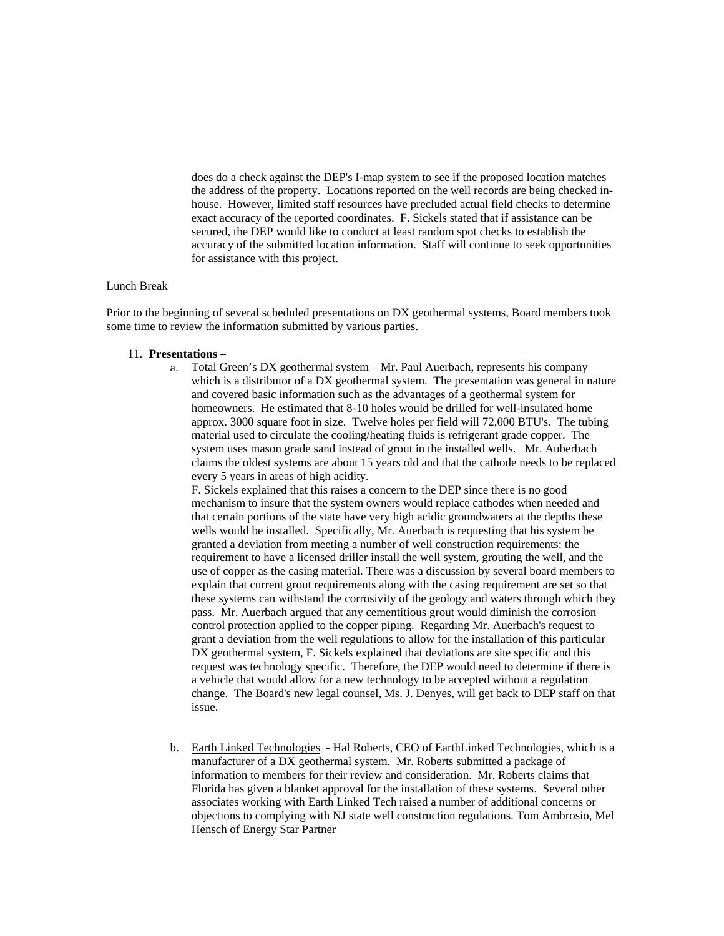does do a check against the DEP's I-map system to see if the proposed location matches the address of the property. Locations reported on the well records are being checked inhouse. However, limited staff resources have precluded actual field checks to determine exact accuracy of the reported coordinates. F. Sickels stated that if assistance can be secured, the DEP would like to conduct at least random spot checks to establish the accuracy of the submitted location information. Staff will continue to seek opportunities for assistance with this project.

## Lunch Break

Prior to the beginning of several scheduled presentations on DX geothermal systems, Board members took some time to review the information submitted by various parties.

#### 11. **Presentations** –

a. Total Green's DX geothermal system – Mr. Paul Auerbach, represents his company which is a distributor of a DX geothermal system. The presentation was general in nature and covered basic information such as the advantages of a geothermal system for homeowners. He estimated that 8-10 holes would be drilled for well-insulated home approx. 3000 square foot in size. Twelve holes per field will 72,000 BTU's. The tubing material used to circulate the cooling/heating fluids is refrigerant grade copper. The system uses mason grade sand instead of grout in the installed wells. Mr. Auberbach claims the oldest systems are about 15 years old and that the cathode needs to be replaced every 5 years in areas of high acidity.

F. Sickels explained that this raises a concern to the DEP since there is no good mechanism to insure that the system owners would replace cathodes when needed and that certain portions of the state have very high acidic groundwaters at the depths these wells would be installed. Specifically, Mr. Auerbach is requesting that his system be granted a deviation from meeting a number of well construction requirements: the requirement to have a licensed driller install the well system, grouting the well, and the use of copper as the casing material. There was a discussion by several board members to explain that current grout requirements along with the casing requirement are set so that these systems can withstand the corrosivity of the geology and waters through which they pass. Mr. Auerbach argued that any cementitious grout would diminish the corrosion control protection applied to the copper piping. Regarding Mr. Auerbach's request to grant a deviation from the well regulations to allow for the installation of this particular DX geothermal system, F. Sickels explained that deviations are site specific and this request was technology specific. Therefore, the DEP would need to determine if there is a vehicle that would allow for a new technology to be accepted without a regulation change. The Board's new legal counsel, Ms. J. Denyes, will get back to DEP staff on that issue.

b. Earth Linked Technologies - Hal Roberts, CEO of EarthLinked Technologies, which is a manufacturer of a DX geothermal system. Mr. Roberts submitted a package of information to members for their review and consideration. Mr. Roberts claims that Florida has given a blanket approval for the installation of these systems. Several other associates working with Earth Linked Tech raised a number of additional concerns or objections to complying with NJ state well construction regulations. Tom Ambrosio, Mel Hensch of Energy Star Partner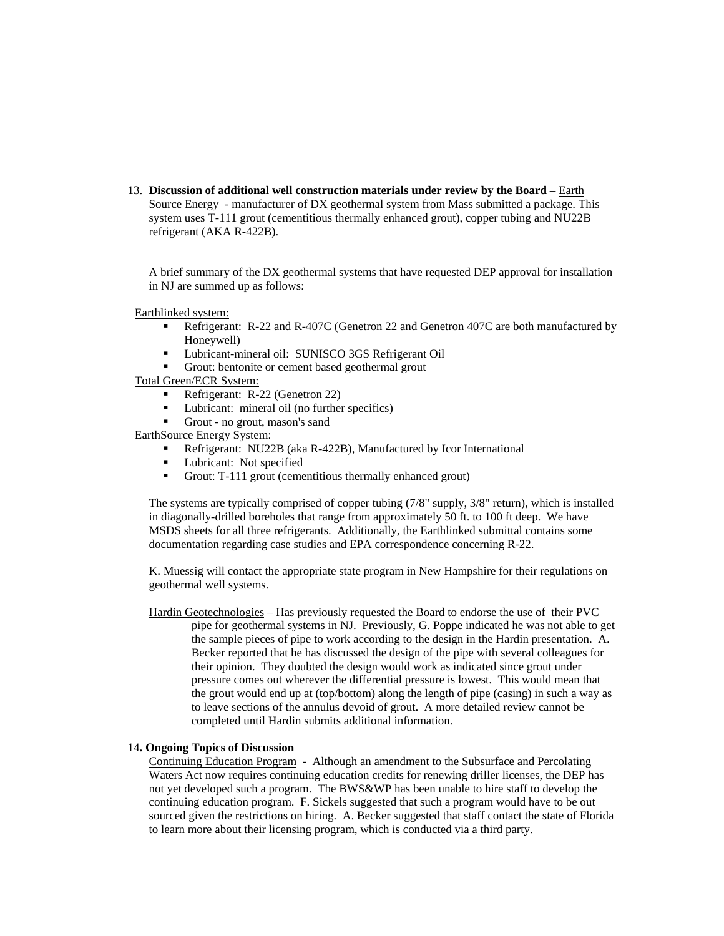13. **Discussion of additional well construction materials under review by the Board** – Earth Source Energy - manufacturer of DX geothermal system from Mass submitted a package. This system uses T-111 grout (cementitious thermally enhanced grout), copper tubing and NU22B refrigerant (AKA R-422B).

A brief summary of the DX geothermal systems that have requested DEP approval for installation in NJ are summed up as follows:

Earthlinked system:

- Refrigerant: R-22 and R-407C (Genetron 22 and Genetron 407C are both manufactured by Honeywell)
- **Lubricant-mineral oil: SUNISCO 3GS Refrigerant Oil**
- Grout: bentonite or cement based geothermal grout

Total Green/ECR System:

- Refrigerant: R-22 (Genetron 22)
- Lubricant: mineral oil (no further specifics)
- Grout no grout, mason's sand

EarthSource Energy System:

- Refrigerant: NU22B (aka R-422B), Manufactured by Icor International
- Lubricant: Not specified
- Grout: T-111 grout (cementitious thermally enhanced grout)

The systems are typically comprised of copper tubing (7/8" supply, 3/8" return), which is installed in diagonally-drilled boreholes that range from approximately 50 ft. to 100 ft deep. We have MSDS sheets for all three refrigerants. Additionally, the Earthlinked submittal contains some documentation regarding case studies and EPA correspondence concerning R-22.

K. Muessig will contact the appropriate state program in New Hampshire for their regulations on geothermal well systems.

Hardin Geotechnologies – Has previously requested the Board to endorse the use of their PVC pipe for geothermal systems in NJ. Previously, G. Poppe indicated he was not able to get the sample pieces of pipe to work according to the design in the Hardin presentation. A. Becker reported that he has discussed the design of the pipe with several colleagues for their opinion. They doubted the design would work as indicated since grout under pressure comes out wherever the differential pressure is lowest. This would mean that the grout would end up at (top/bottom) along the length of pipe (casing) in such a way as to leave sections of the annulus devoid of grout. A more detailed review cannot be completed until Hardin submits additional information.

### 14**. Ongoing Topics of Discussion**

Continuing Education Program - Although an amendment to the Subsurface and Percolating Waters Act now requires continuing education credits for renewing driller licenses, the DEP has not yet developed such a program. The BWS&WP has been unable to hire staff to develop the continuing education program. F. Sickels suggested that such a program would have to be out sourced given the restrictions on hiring. A. Becker suggested that staff contact the state of Florida to learn more about their licensing program, which is conducted via a third party.